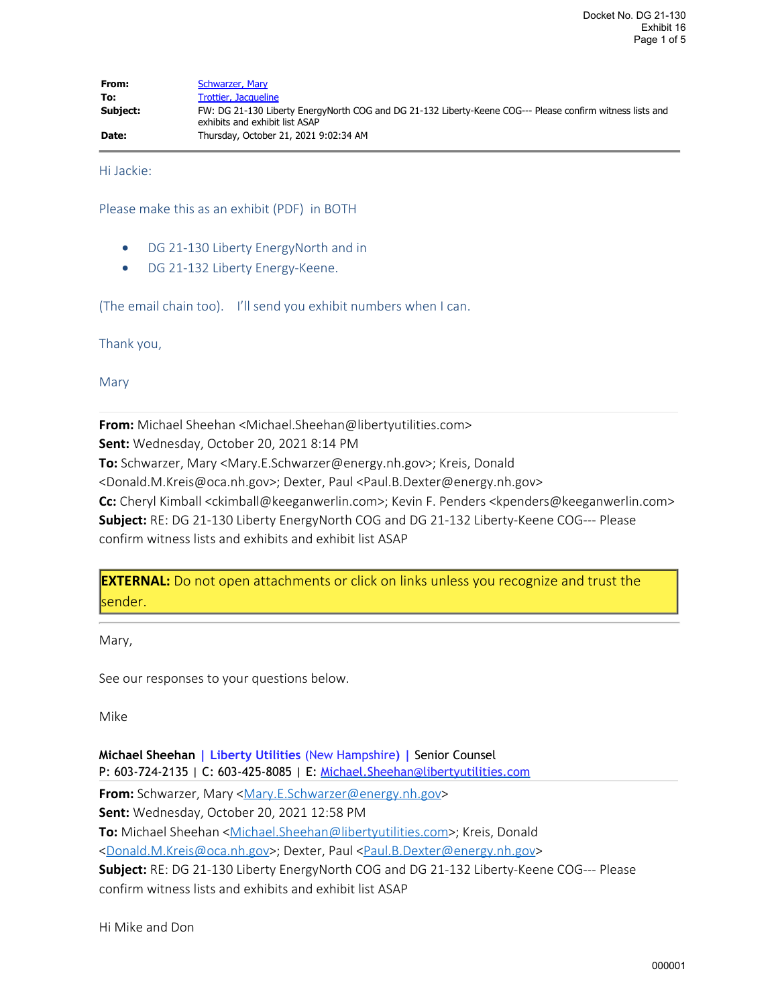| From:    | Schwarzer, Mary                                                                                                                             |
|----------|---------------------------------------------------------------------------------------------------------------------------------------------|
| To:      | Trottier, Jacqueline                                                                                                                        |
| Subject: | FW: DG 21-130 Liberty EnergyNorth COG and DG 21-132 Liberty-Keene COG--- Please confirm witness lists and<br>exhibits and exhibit list ASAP |
| Date:    | Thursday, October 21, 2021 9:02:34 AM                                                                                                       |

Hi Jackie:

Please make this as an exhibit (PDF) in BOTH

- DG 21-130 Liberty EnergyNorth and in
- · DG 21-132 Liberty Energy-Keene.

(The email chain too). I'll send you exhibit numbers when I can.

Thank you,

Mary

**From:** Michael Sheehan <Michael.Sheehan@libertyutilities.com> **Sent:** Wednesday, October 20, 2021 8:14 PM **To:** Schwarzer, Mary <Mary.E.Schwarzer@energy.nh.gov>; Kreis, Donald <Donald.M.Kreis@oca.nh.gov>; Dexter, Paul <Paul.B.Dexter@energy.nh.gov> **Cc:** Cheryl Kimball <ckimball@keeganwerlin.com>; Kevin F. Penders <kpenders@keeganwerlin.com> **Subject:** RE: DG 21-130 Liberty EnergyNorth COG and DG 21-132 Liberty-Keene COG--- Please confirm witness lists and exhibits and exhibit list ASAP

**EXTERNAL:** Do not open attachments or click on links unless you recognize and trust the sender.

Mary,

See our responses to your questions below.

Mike

**Michael Sheehan | Liberty Utilities** (New Hampshire**) |** Senior Counsel P: 603-724-2135 | C: 603-425-8085 | E: Michael. Sheehan@libertyutilities.com **From:** Schwarzer, Mary [<Mary.E.Schwarzer@energy.nh.gov](mailto:Mary.E.Schwarzer@energy.nh.gov)> **Sent:** Wednesday, October 20, 2021 12:58 PM **To:** Michael Sheehan <[Michael.Sheehan@libertyutilities.com](mailto:Michael.Sheehan@libertyutilities.com)>; Kreis, Donald [<Donald.M.Kreis@oca.nh.gov](mailto:Donald.M.Kreis@oca.nh.gov)>; Dexter, Paul [<Paul.B.Dexter@energy.nh.gov](mailto:Paul.B.Dexter@energy.nh.gov)> **Subject:** RE: DG 21-130 Liberty EnergyNorth COG and DG 21-132 Liberty-Keene COG--- Please confirm witness lists and exhibits and exhibit list ASAP

Hi Mike and Don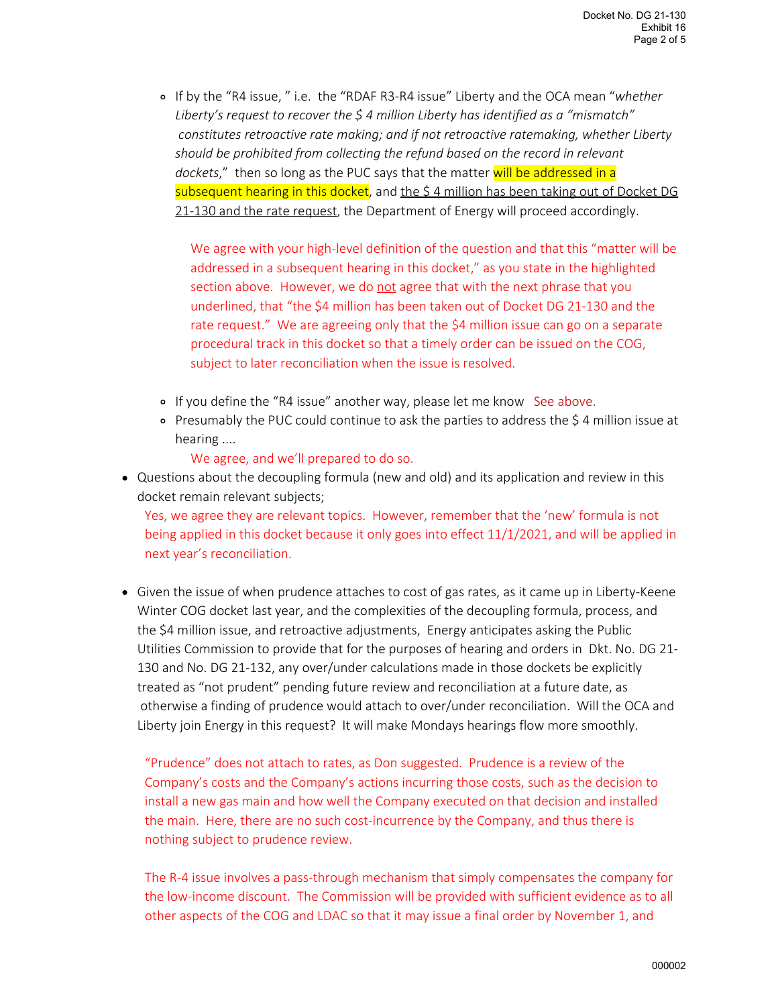If by the "R4 issue, " i.e. the "RDAF R3-R4 issue" Liberty and the OCA mean "*whether* 0 *Liberty's request to recover the \$ 4 million Liberty has identified as a "mismatch" constitutes retroactive rate making; and if not retroactive ratemaking, whether Liberty should be prohibited from collecting the refund based on the record in relevant* dockets," then so long as the PUC says that the matter will be addressed in a subsequent hearing in this docket, and the \$4 million has been taking out of Docket DG 21-130 and the rate request, the Department of Energy will proceed accordingly.

We agree with your high-level definition of the question and that this "matter will be addressed in a subsequent hearing in this docket," as you state in the highlighted section above. However, we do not agree that with the next phrase that you underlined, that "the \$4 million has been taken out of Docket DG 21-130 and the rate request." We are agreeing only that the \$4 million issue can go on a separate procedural track in this docket so that a timely order can be issued on the COG, subject to later reconciliation when the issue is resolved.

- o If you define the "R4 issue" another way, please let me know See above.
- Presumably the PUC could continue to ask the parties to address the \$ 4 million issue at 0 hearing ....
	- We agree, and we'll prepared to do so.
- Questions about the decoupling formula (new and old) and its application and review in this docket remain relevant subjects;

Yes, we agree they are relevant topics. However, remember that the 'new' formula is not being applied in this docket because it only goes into effect 11/1/2021, and will be applied in next year's reconciliation.

Given the issue of when prudence attaches to cost of gas rates, as it came up in Liberty-Keene • Winter COG docket last year, and the complexities of the decoupling formula, process, and the \$4 million issue, and retroactive adjustments, Energy anticipates asking the Public Utilities Commission to provide that for the purposes of hearing and orders in Dkt. No. DG 21- 130 and No. DG 21-132, any over/under calculations made in those dockets be explicitly treated as "not prudent" pending future review and reconciliation at a future date, as otherwise a finding of prudence would attach to over/under reconciliation. Will the OCA and Liberty join Energy in this request? It will make Mondays hearings flow more smoothly.

"Prudence" does not attach to rates, as Don suggested. Prudence is a review of the Company's costs and the Company's actions incurring those costs, such as the decision to install a new gas main and how well the Company executed on that decision and installed the main. Here, there are no such cost-incurrence by the Company, and thus there is nothing subject to prudence review.

The R-4 issue involves a pass-through mechanism that simply compensates the company for the low-income discount. The Commission will be provided with sufficient evidence as to all other aspects of the COG and LDAC so that it may issue a final order by November 1, and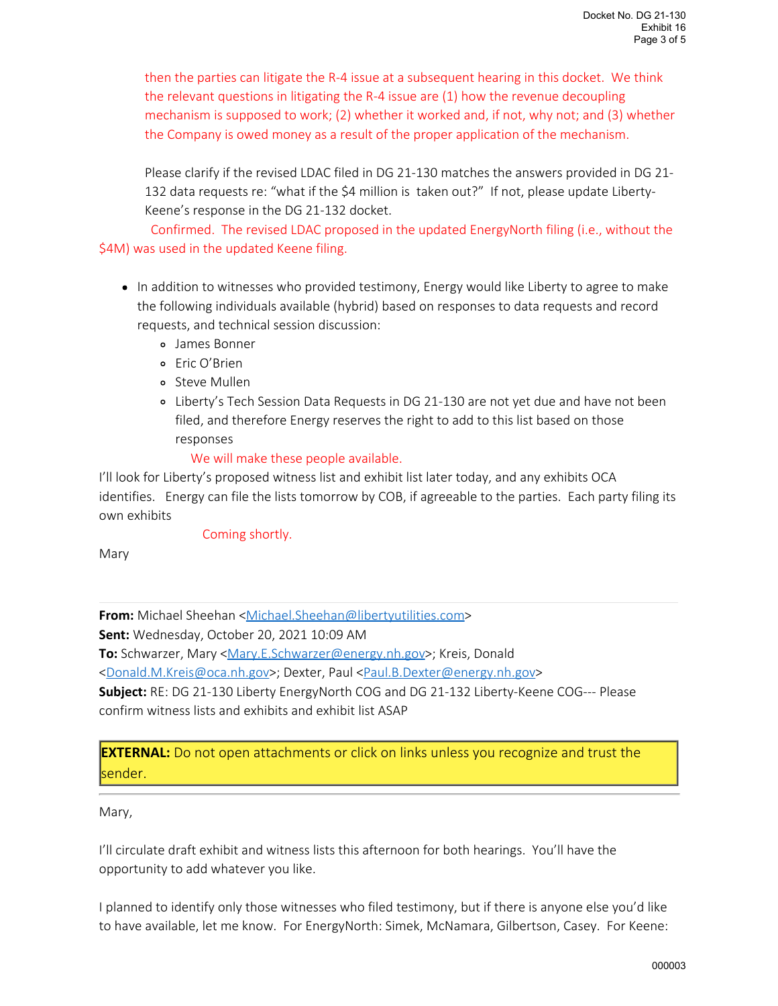then the parties can litigate the R-4 issue at a subsequent hearing in this docket. We think the relevant questions in litigating the R-4 issue are (1) how the revenue decoupling mechanism is supposed to work; (2) whether it worked and, if not, why not; and (3) whether the Company is owed money as a result of the proper application of the mechanism.

Please clarify if the revised LDAC filed in DG 21-130 matches the answers provided in DG 21- 132 data requests re: "what if the \$4 million is taken out?" If not, please update Liberty-Keene's response in the DG 21-132 docket.

 Confirmed. The revised LDAC proposed in the updated EnergyNorth filing (i.e., without the \$4M) was used in the updated Keene filing.

- In addition to witnesses who provided testimony, Energy would like Liberty to agree to make the following individuals available (hybrid) based on responses to data requests and record requests, and technical session discussion:
	- James Bonner 0
	- Eric O'Brien 0
	- Steve Mullen 0
	- Liberty's Tech Session Data Requests in DG 21-130 are not yet due and have not been 0 filed, and therefore Energy reserves the right to add to this list based on those responses

## We will make these people available.

I'll look for Liberty's proposed witness list and exhibit list later today, and any exhibits OCA identifies. Energy can file the lists tomorrow by COB, if agreeable to the parties. Each party filing its own exhibits

## Coming shortly.

Mary

**From:** Michael Sheehan <[Michael.Sheehan@libertyutilities.com>](mailto:Michael.Sheehan@libertyutilities.com) **Sent:** Wednesday, October 20, 2021 10:09 AM **To:** Schwarzer, Mary [<Mary.E.Schwarzer@energy.nh.gov](mailto:Mary.E.Schwarzer@energy.nh.gov)>; Kreis, Donald [<Donald.M.Kreis@oca.nh.gov](mailto:Donald.M.Kreis@oca.nh.gov)>; Dexter, Paul [<Paul.B.Dexter@energy.nh.gov](mailto:Paul.B.Dexter@energy.nh.gov)> **Subject:** RE: DG 21-130 Liberty EnergyNorth COG and DG 21-132 Liberty-Keene COG--- Please confirm witness lists and exhibits and exhibit list ASAP

**EXTERNAL:** Do not open attachments or click on links unless you recognize and trust the sender.

## Mary,

I'll circulate draft exhibit and witness lists this afternoon for both hearings. You'll have the opportunity to add whatever you like.

I planned to identify only those witnesses who filed testimony, but if there is anyone else you'd like to have available, let me know. For EnergyNorth: Simek, McNamara, Gilbertson, Casey. For Keene: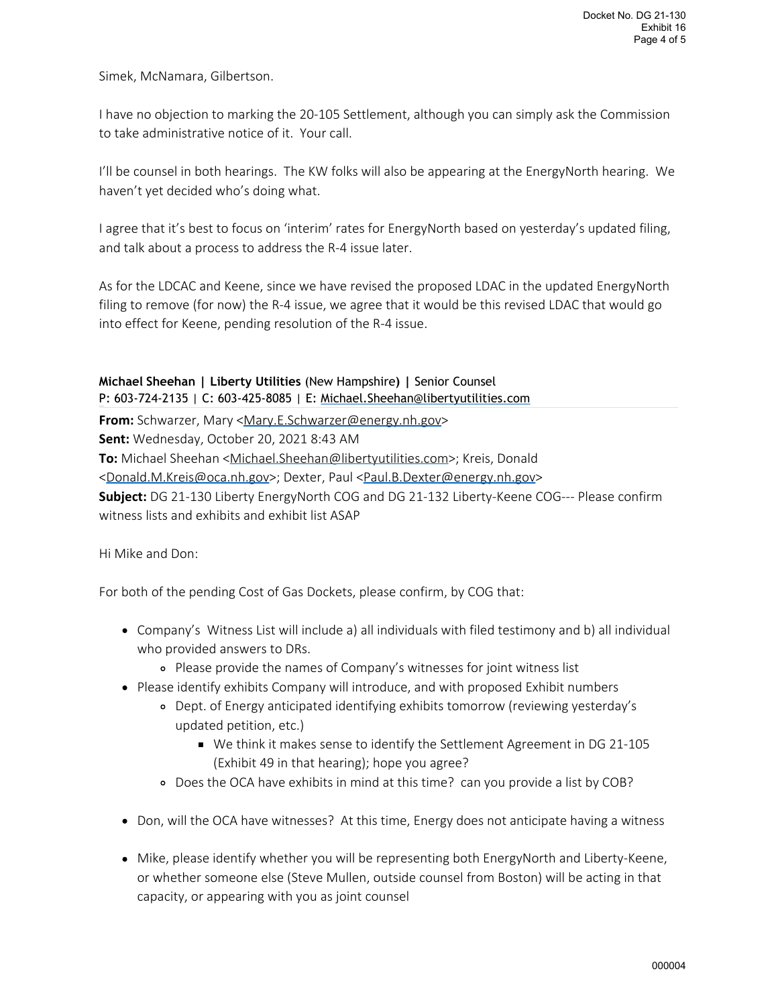Simek, McNamara, Gilbertson.

I have no objection to marking the 20-105 Settlement, although you can simply ask the Commission to take administrative notice of it. Your call.

I'll be counsel in both hearings. The KW folks will also be appearing at the EnergyNorth hearing. We haven't yet decided who's doing what.

I agree that it's best to focus on 'interim' rates for EnergyNorth based on yesterday's updated filing, and talk about a process to address the R-4 issue later.

As for the LDCAC and Keene, since we have revised the proposed LDAC in the updated EnergyNorth filing to remove (for now) the R-4 issue, we agree that it would be this revised LDAC that would go into effect for Keene, pending resolution of the R-4 issue.

**Michael Sheehan | Liberty Utilities** (New Hampshire**) |** Senior Counsel P: 603-724-2135 | C: 603-425-8085 | E: [Michael.Sheehan@libertyutilities.com](mailto:Michael.Sheehan@libertyutilities.com)

**From:** Schwarzer, Mary [<Mary.E.Schwarzer@energy.nh.gov](mailto:Mary.E.Schwarzer@energy.nh.gov)>

**Sent:** Wednesday, October 20, 2021 8:43 AM

**To:** Michael Sheehan <[Michael.Sheehan@libertyutilities.com](mailto:Michael.Sheehan@libertyutilities.com)>; Kreis, Donald

[<Donald.M.Kreis@oca.nh.gov](mailto:Donald.M.Kreis@oca.nh.gov)>; Dexter, Paul [<Paul.B.Dexter@energy.nh.gov](mailto:Paul.B.Dexter@energy.nh.gov)>

**Subject:** DG 21-130 Liberty EnergyNorth COG and DG 21-132 Liberty-Keene COG--- Please confirm witness lists and exhibits and exhibit list ASAP

Hi Mike and Don:

For both of the pending Cost of Gas Dockets, please confirm, by COG that:

- Company's Witness List will include a) all individuals with filed testimony and b) all individual who provided answers to DRs.
	- Please provide the names of Company's witnesses for joint witness list 0
- Please identify exhibits Company will introduce, and with proposed Exhibit numbers
	- Dept. of Energy anticipated identifying exhibits tomorrow (reviewing yesterday's 0 updated petition, etc.)
		- We think it makes sense to identify the Settlement Agreement in DG 21-105 (Exhibit 49 in that hearing); hope you agree?
	- Does the OCA have exhibits in mind at this time? can you provide a list by COB? 0
- Don, will the OCA have witnesses? At this time, Energy does not anticipate having a witness •
- Mike, please identify whether you will be representing both EnergyNorth and Liberty-Keene, or whether someone else (Steve Mullen, outside counsel from Boston) will be acting in that capacity, or appearing with you as joint counsel